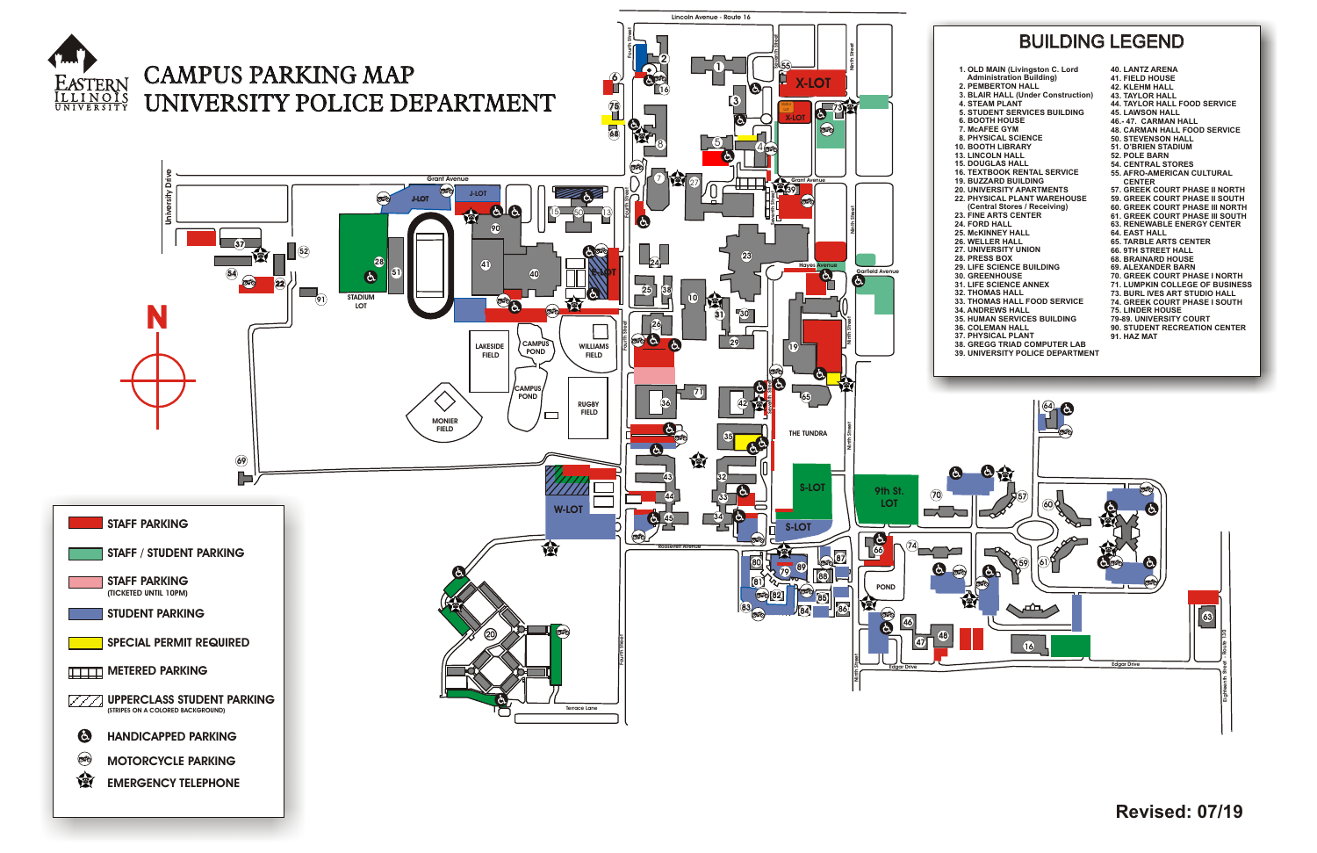

- 
- 
- 
- 
- 
- 
- 
- 
- 
- 
- 
- 
- 
- 
- 
- 
- 
- 
- 
- 
- 
- 
- 
- 
- 
- 
- 
- **90. STUDENT RECREATION CENTER**